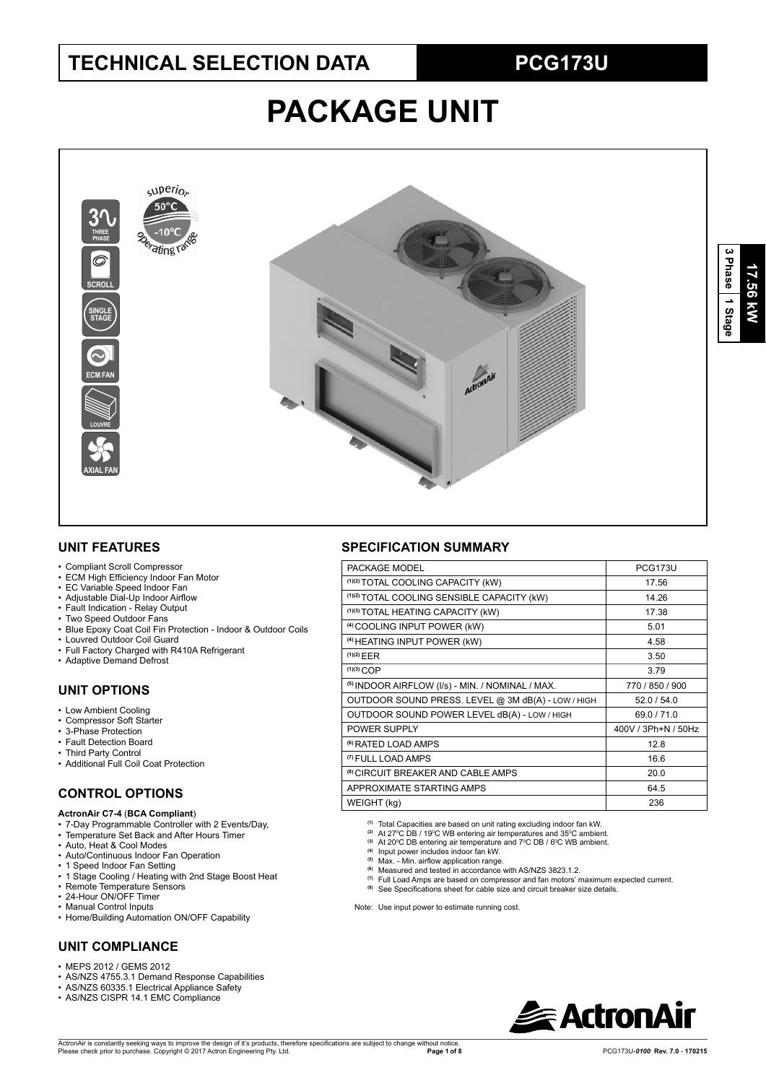## **TECHNICAL SELECTION DATA PCG173U**

# **PACKAGE UNIT**



#### **UNIT FEATURES**

- Compliant Scroll Compressor
- ECM High Efficiency Indoor Fan Motor
- EC Variable Speed Indoor Fan
- Adjustable Dial-Up Indoor Airflow
- Fault Indication Relay Output
- Two Speed Outdoor Fans
- Blue Epoxy Coat Coil Fin Protection Indoor & Outdoor Coils
- Louvred Outdoor Coil Guard
- Full Factory Charged with R410A Refrigerant
- Adaptive Demand Defrost

#### **UNIT OPTIONS**

- Low Ambient Cooling
- Compressor Soft Starter
- 3-Phase Protection
- Fault Detection Board
- Third Party Control
- Additional Full Coil Coat Protection

#### **CONTROL OPTIONS**

#### **ActronAir C7-4** (**BCA Compliant**)

- 7-Day Programmable Controller with 2 Events/Day,
- Temperature Set Back and After Hours Timer
- Auto, Heat & Cool Modes
- Auto/Continuous Indoor Fan Operation
- 1 Speed Indoor Fan Setting
- 1 Stage Cooling / Heating with 2nd Stage Boost Heat • Remote Temperature Sensors
- 24-Hour ON/OFF Timer
- Manual Control Inputs
- Home/Building Automation ON/OFF Capability

#### **UNIT COMPLIANCE**

- MEPS 2012 / GEMS 2012
- AS/NZS 4755.3.1 Demand Response Capabilities
- AS/NZS 60335.1 Electrical Appliance Safety
- AS/NZS CISPR 14.1 EMC Compliance

#### **SPECIFICATION SUMMARY**

| PACKAGE MODEL                                      | <b>PCG173U</b>      |
|----------------------------------------------------|---------------------|
| (1)(2) TOTAL COOLING CAPACITY (kW)                 | 17.56               |
| (1)(2) TOTAL COOLING SENSIBLE CAPACITY (kW)        | 14.26               |
| (1)(3) TOTAL HEATING CAPACITY (kW)                 | 17.38               |
| <sup>(4)</sup> COOLING INPUT POWER (kW)            | 5.01                |
| (4) HEATING INPUT POWER (kW)                       | 4.58                |
| $(1)(2)$ EER                                       | 3.50                |
| $(1)(3)$ COP                                       | 3.79                |
| (5) INDOOR AIRFLOW (I/s) - MIN. / NOMINAL / MAX.   | 770 / 850 / 900     |
| OUTDOOR SOUND PRESS. LEVEL @ 3M dB(A) - LOW / HIGH | 52.0/54.0           |
| OUTDOOR SOUND POWER LEVEL dB(A) - LOW / HIGH       | 69.0/71.0           |
| POWER SUPPLY                                       | 400V / 3Ph+N / 50Hz |
| <sup>(6)</sup> RATED LOAD AMPS                     | 12.8                |
| <sup>(7)</sup> FULL LOAD AMPS                      | 16.6                |
| <sup>(8)</sup> CIRCUIT BREAKER AND CABLE AMPS      | 20.0                |
| APPROXIMATE STARTING AMPS                          | 64.5                |
| WEIGHT (kg)                                        | 236                 |
|                                                    |                     |

**(1)** Total Capacities are based on unit rating excluding indoor fan kW.

- <sup>@</sup> At 27℃ DB / 19℃ WB entering air temperatures and 35℃ ambient.<br><sup>@</sup> At 20℃ DB entering air temperature and 7℃ DB / 6℃ WB ambient.<br><sup>(4)</sup> Input power includes indoor fan kW.
- 
- 
- <sup>(5)</sup> Max. Min. airflow application range.<br><sup>(6)</sup> Measured and tested in accordance with AS/NZS 3823.1.2.
- **(7)** Measured and resied in accordance with morries scale in the maximum expected current.<br>(7) Full Load Amps are based on compressor and fan motors' maximum expected current.
- <sup>(8)</sup> See Specifications sheet for cable size and circuit breaker size details.
- Note: Use input power to estimate running cost.

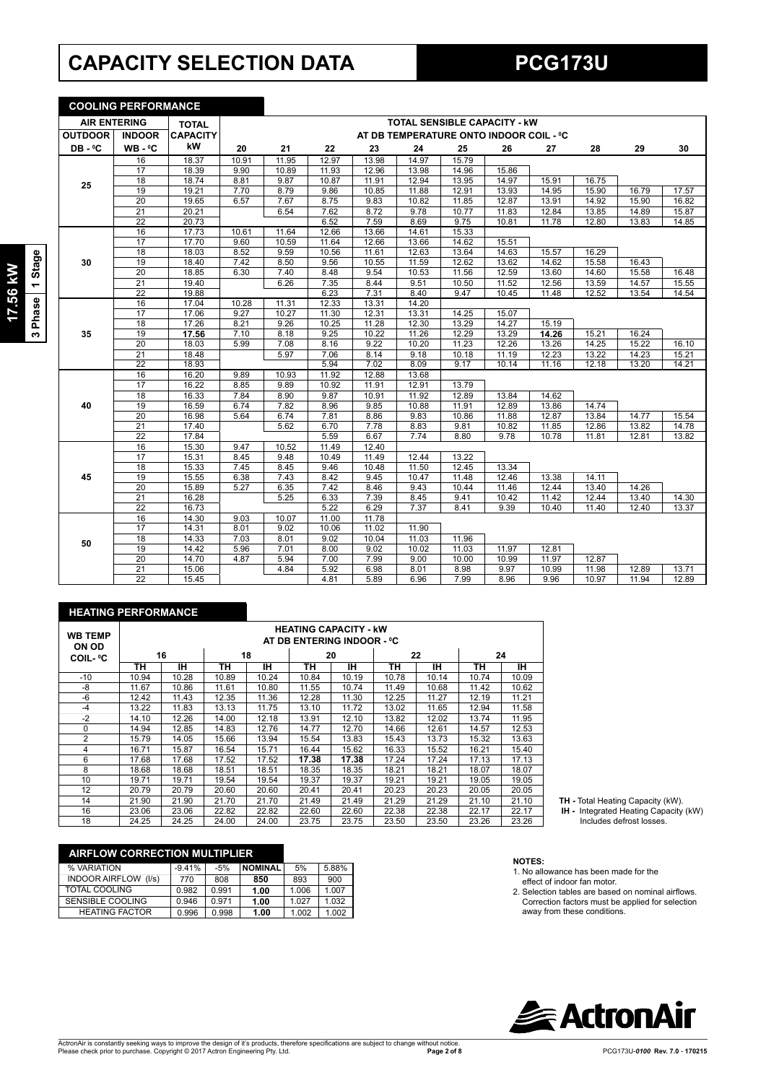## **CAPACITY SELECTION DATA PCG173U**

**COOLING PERFORMANCE**

| <b>AIR ENTERING</b> |                 | <b>TOTAL</b>    |       | <b>TOTAL SENSIBLE CAPACITY - KW</b> |       |       |       |       |                                         |       |       |       |       |
|---------------------|-----------------|-----------------|-------|-------------------------------------|-------|-------|-------|-------|-----------------------------------------|-------|-------|-------|-------|
| <b>OUTDOOR</b>      | <b>INDOOR</b>   | <b>CAPACITY</b> |       |                                     |       |       |       |       | AT DB TEMPERATURE ONTO INDOOR COIL - °C |       |       |       |       |
| DB-°C               | $WB - C$        | kW              | 20    | 21                                  | 22    | 23    | 24    | 25    | 26                                      | 27    | 28    | 29    | 30    |
|                     | 16              | 18.37           | 10.91 | 11.95                               | 12.97 | 13.98 | 14.97 | 15.79 |                                         |       |       |       |       |
|                     | 17              | 18.39           | 9.90  | 10.89                               | 11.93 | 12.96 | 13.98 | 14.96 | 15.86                                   |       |       |       |       |
| 25                  | 18              | 18.74           | 8.81  | 9.87                                | 10.87 | 11.91 | 12.94 | 13.95 | 14.97                                   | 15.91 | 16.75 |       |       |
|                     | 19              | 19.21           | 7.70  | 8.79                                | 9.86  | 10.85 | 11.88 | 12.91 | 13.93                                   | 14.95 | 15.90 | 16.79 | 17.57 |
|                     | 20              | 19.65           | 6.57  | 7.67                                | 8.75  | 9.83  | 10.82 | 11.85 | 12.87                                   | 13.91 | 14.92 | 15.90 | 16.82 |
|                     | $\overline{21}$ | 20.21           |       | 6.54                                | 7.62  | 8.72  | 9.78  | 10.77 | 11.83                                   | 12.84 | 13.85 | 14.89 | 15.87 |
|                     | $\overline{22}$ | 20.73           |       |                                     | 6.52  | 7.59  | 8.69  | 9.75  | 10.81                                   | 11.78 | 12.80 | 13.83 | 14.85 |
|                     | 16              | 17.73           | 10.61 | 11.64                               | 12.66 | 13.66 | 14.61 | 15.33 |                                         |       |       |       |       |
|                     | 17              | 17.70           | 9.60  | 10.59                               | 11.64 | 12.66 | 13.66 | 14.62 | 15.51                                   |       |       |       |       |
|                     | 18              | 18.03           | 8.52  | 9.59                                | 10.56 | 11.61 | 12.63 | 13.64 | 14.63                                   | 15.57 | 16.29 |       |       |
| 30                  | 19              | 18.40           | 7.42  | 8.50                                | 9.56  | 10.55 | 11.59 | 12.62 | 13.62                                   | 14.62 | 15.58 | 16.43 |       |
|                     | 20              | 18.85           | 6.30  | 7.40                                | 8.48  | 9.54  | 10.53 | 11.56 | 12.59                                   | 13.60 | 14.60 | 15.58 | 16.48 |
|                     | $\overline{21}$ | 19.40           |       | 6.26                                | 7.35  | 8.44  | 9.51  | 10.50 | 11.52                                   | 12.56 | 13.59 | 14.57 | 15.55 |
|                     | $\overline{22}$ | 19.88           |       |                                     | 6.23  | 7.31  | 8.40  | 9.47  | 10.45                                   | 11.48 | 12.52 | 13.54 | 14.54 |
|                     | 16              | 17.04           | 10.28 | 11.31                               | 12.33 | 13.31 | 14.20 |       |                                         |       |       |       |       |
|                     | 17              | 17.06           | 9.27  | 10.27                               | 11.30 | 12.31 | 13.31 | 14.25 | 15.07                                   |       |       |       |       |
|                     | 18              | 17.26           | 8.21  | 9.26                                | 10.25 | 11.28 | 12.30 | 13.29 | 14.27                                   | 15.19 |       |       |       |
| 35                  | 19              | 17.56           | 7.10  | 8.18                                | 9.25  | 10.22 | 11.26 | 12.29 | 13.29                                   | 14.26 | 15.21 | 16.24 |       |
|                     | $\overline{20}$ | 18.03           | 5.99  | 7.08                                | 8.16  | 9.22  | 10.20 | 11.23 | 12.26                                   | 13.26 | 14.25 | 15.22 | 16.10 |
|                     | 21              | 18.48           |       | 5.97                                | 7.06  | 8.14  | 9.18  | 10.18 | 11.19                                   | 12.23 | 13.22 | 14.23 | 15.21 |
|                     | $\overline{22}$ | 18.93           |       |                                     | 5.94  | 7.02  | 8.09  | 9.17  | 10.14                                   | 11.16 | 12.18 | 13.20 | 14.21 |
|                     | 16              | 16.20           | 9.89  | 10.93                               | 11.92 | 12.88 | 13.68 |       |                                         |       |       |       |       |
|                     | 17              | 16.22           | 8.85  | 9.89                                | 10.92 | 11.91 | 12.91 | 13.79 |                                         |       |       |       |       |
|                     | 18              | 16.33           | 7.84  | 8.90                                | 9.87  | 10.91 | 11.92 | 12.89 | 13.84                                   | 14.62 |       |       |       |
| 40                  | 19              | 16.59           | 6.74  | 7.82                                | 8.96  | 9.85  | 10.88 | 11.91 | 12.89                                   | 13.86 | 14.74 |       |       |
|                     | 20              | 16.98           | 5.64  | 6.74                                | 7.81  | 8.86  | 9.83  | 10.86 | 11.88                                   | 12.87 | 13.84 | 14.77 | 15.54 |
|                     | 21              | 17.40           |       | 5.62                                | 6.70  | 7.78  | 8.83  | 9.81  | 10.82                                   | 11.85 | 12.86 | 13.82 | 14.78 |
|                     | 22              | 17.84           |       |                                     | 5.59  | 6.67  | 7.74  | 8.80  | 9.78                                    | 10.78 | 11.81 | 12.81 | 13.82 |
|                     | 16              | 15.30           | 9.47  | 10.52                               | 11.49 | 12.40 |       |       |                                         |       |       |       |       |
|                     | 17              | 15.31           | 8.45  | 9.48                                | 10.49 | 11.49 | 12.44 | 13.22 |                                         |       |       |       |       |
|                     | 18              | 15.33           | 7.45  | 8.45                                | 9.46  | 10.48 | 11.50 | 12.45 | 13.34                                   |       |       |       |       |
| 45                  | 19              | 15.55           | 6.38  | 7.43                                | 8.42  | 9.45  | 10.47 | 11.48 | 12.46                                   | 13.38 | 14.11 |       |       |
|                     | 20              | 15.89           | 5.27  | 6.35                                | 7.42  | 8.46  | 9.43  | 10.44 | 11.46                                   | 12.44 | 13.40 | 14.26 |       |
|                     | $\overline{21}$ | 16.28           |       | 5.25                                | 6.33  | 7.39  | 8.45  | 9.41  | 10.42                                   | 11.42 | 12.44 | 13.40 | 14.30 |
|                     | $\overline{22}$ | 16.73           |       |                                     | 5.22  | 6.29  | 7.37  | 8.41  | 9.39                                    | 10.40 | 11.40 | 12.40 | 13.37 |
|                     | 16              | 14.30           | 9.03  | 10.07                               | 11.00 | 11.78 |       |       |                                         |       |       |       |       |
|                     | 17              | 14.31           | 8.01  | 9.02                                | 10.06 | 11.02 | 11.90 |       |                                         |       |       |       |       |
| 50                  | 18              | 14.33           | 7.03  | 8.01                                | 9.02  | 10.04 | 11.03 | 11.96 |                                         |       |       |       |       |
|                     | 19              | 14.42           | 5.96  | 7.01                                | 8.00  | 9.02  | 10.02 | 11.03 | 11.97                                   | 12.81 |       |       |       |
|                     | 20              | 14.70           | 4.87  | 5.94                                | 7.00  | 7.99  | 9.00  | 10.00 | 10.99                                   | 11.97 | 12.87 |       |       |
|                     | 21              | 15.06           |       | 4.84                                | 5.92  | 6.98  | 8.01  | 8.98  | 9.97                                    | 10.99 | 11.98 | 12.89 | 13.71 |
|                     | $\overline{22}$ | 15.45           |       |                                     | 4.81  | 5.89  | 6.96  | 7.99  | 8.96                                    | 9.96  | 10.97 | 11.94 | 12.89 |

#### **HEATING PERFORMANCE**

| <b>WB TEMP</b><br>ON OD | <b>HEATING CAPACITY - kW</b><br>AT DB ENTERING INDOOR - °C |       |       |       |       |       |       |       |       |       |  |  |
|-------------------------|------------------------------------------------------------|-------|-------|-------|-------|-------|-------|-------|-------|-------|--|--|
| <b>COIL-</b> °C         |                                                            | 16    |       | 18    |       | 20    |       | 22    |       | 24    |  |  |
|                         | TН                                                         | тн    | TН    | IH.   | TН    | IН    | TН    | IΗ    | TН    | IН    |  |  |
| $-10$                   | 10.94                                                      | 10.28 | 10.89 | 10.24 | 10.84 | 10.19 | 10.78 | 10.14 | 10.74 | 10.09 |  |  |
| -8                      | 11.67                                                      | 10.86 | 11.61 | 10.80 | 11.55 | 10.74 | 11.49 | 10.68 | 11.42 | 10.62 |  |  |
| $-6$                    | 12.42                                                      | 11.43 | 12.35 | 11.36 | 12.28 | 11.30 | 12.25 | 11.27 | 12.19 | 11.21 |  |  |
| $-4$                    | 13.22                                                      | 11.83 | 13.13 | 11.75 | 13.10 | 11.72 | 13.02 | 11.65 | 12.94 | 11.58 |  |  |
| $-2$                    | 14.10                                                      | 12.26 | 14.00 | 12.18 | 13.91 | 12.10 | 13.82 | 12.02 | 13.74 | 11.95 |  |  |
| $\Omega$                | 14.94                                                      | 12.85 | 14.83 | 12.76 | 14.77 | 12.70 | 14.66 | 12.61 | 14.57 | 12.53 |  |  |
| 2                       | 15.79                                                      | 14.05 | 15.66 | 13.94 | 15.54 | 13.83 | 15.43 | 13.73 | 15.32 | 13.63 |  |  |
| 4                       | 16.71                                                      | 15.87 | 16.54 | 15.71 | 16.44 | 15.62 | 16.33 | 15.52 | 16.21 | 15.40 |  |  |
| 6                       | 17.68                                                      | 17.68 | 17.52 | 17.52 | 17.38 | 17.38 | 17.24 | 17.24 | 17.13 | 17.13 |  |  |
| 8                       | 18.68                                                      | 18.68 | 18.51 | 18.51 | 18.35 | 18.35 | 18.21 | 18.21 | 18.07 | 18.07 |  |  |
| 10                      | 19.71                                                      | 19.71 | 19.54 | 19.54 | 19.37 | 19.37 | 19.21 | 19.21 | 19.05 | 19.05 |  |  |
| 12                      | 20.79                                                      | 20.79 | 20.60 | 20.60 | 20.41 | 20.41 | 20.23 | 20.23 | 20.05 | 20.05 |  |  |
| 14                      | 21.90                                                      | 21.90 | 21.70 | 21.70 | 21.49 | 21.49 | 21.29 | 21.29 | 21.10 | 21.10 |  |  |
| 16                      | 23.06                                                      | 23.06 | 22.82 | 22.82 | 22.60 | 22.60 | 22.38 | 22.38 | 22.17 | 22.17 |  |  |
| 18                      | 24.25                                                      | 24.25 | 24.00 | 24.00 | 23.75 | 23.75 | 23.50 | 23.50 | 23.26 | 23.26 |  |  |

| <b>AIRFLOW CORRECTION MULTIPLIER</b> |          |       |                |       |       |
|--------------------------------------|----------|-------|----------------|-------|-------|
| % VARIATION                          | $-9.41%$ | $-5%$ | <b>NOMINAL</b> | 5%    | 5.88% |
| <b>INDOOR AIRFLOW</b><br>(1/s)       | 770      | 808   | 850            | 893   | 900   |
| <b>TOTAL COOLING</b>                 | 0.982    | 0.991 | 1.00           | 1.006 | 1.007 |
| SENSIBLE COOLING                     | 0.946    | 0.971 | 1.00           | 1.027 | 1.032 |
| <b>HEATING FACTOR</b>                | 0.996    | 0.998 | 1.00           | 1.002 | 1.002 |

**TH -** Total Heating Capacity (kW).  **IH -** Integrated Heating Capacity (kW)

Includes defrost losses.

- **NOTES:** 1. No allowance has been made for the
- effect of indoor fan motor. 2. Selection tables are based on nominal airflows.
- Correction factors must be applied for selection away from these conditions.

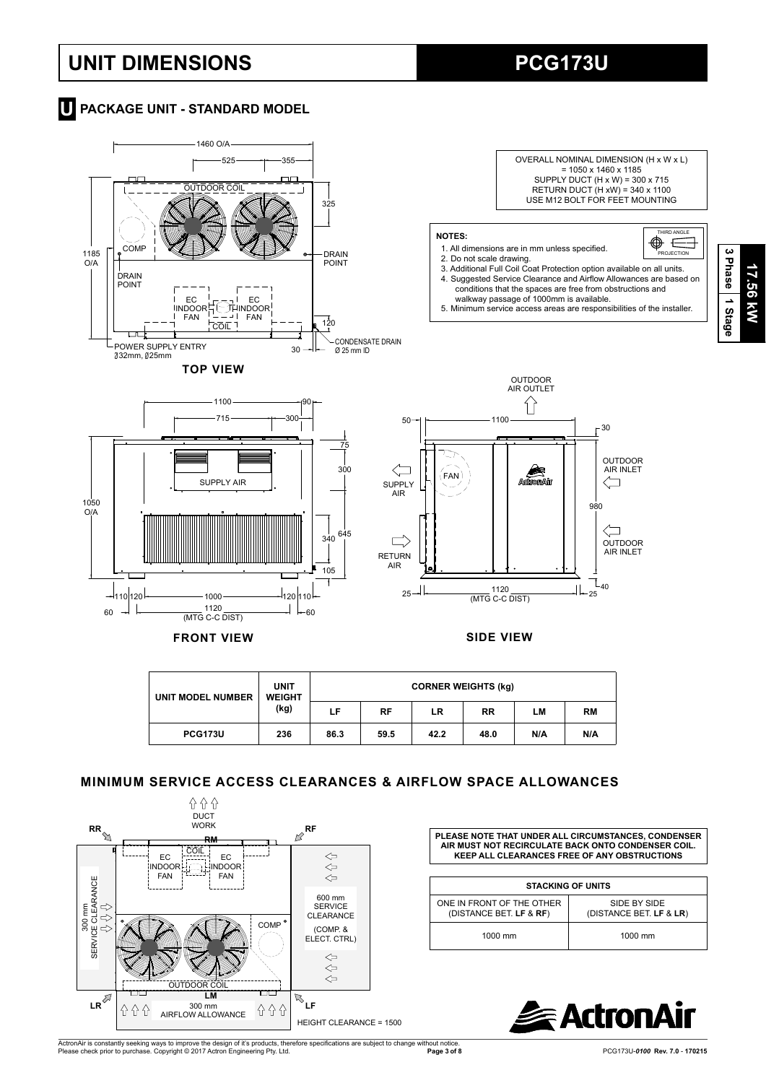## **UNIT DIMENSIONS PCG173U**

 $-$ 1110 120  $-$  1000

 $60$ 



## **T** PACKAGE UNIT - STANDARD MODEL





RETURN AIR

 $\Box$ 

#### **MINIMUM SERVICE ACCESS CLEARANCES & AIRFLOW SPACE ALLOWANCES**

340

645

**FRONT VIEW SIDE VIEW**

105

120 110

\_\_\_\_ 1120 \_\_\_\_\_\_\_\_\_\_\_\_\_\_\_\_\_\_\_\_\_\_\_| |\_\_ <sub>60</sub><br>(MTG C-C DIST)



**PLEASE NOTE THAT UNDER ALL CIRCUMSTANCES, CONDENSER AIR MUST NOT RECIRCULATE BACK ONTO CONDENSER COIL. KEEP ALL CLEARANCES FREE OF ANY OBSTRUCTIONS**

 $-40$ 

٦

OUTDOOR AIR INLET

 $25 - 1$ 

1120

| <b>STACKING OF UNITS</b>                             |                                         |  |  |  |  |  |  |
|------------------------------------------------------|-----------------------------------------|--|--|--|--|--|--|
| ONE IN FRONT OF THE OTHER<br>(DISTANCE BET. LF & RF) | SIDE BY SIDE<br>(DISTANCE BET. LF & LR) |  |  |  |  |  |  |
| 1000 mm                                              | 1000 mm                                 |  |  |  |  |  |  |



**3 Phase17.56 kW** 17.56 kW  **1 Stage**

ActronAir is constantly seeking ways to improve the design of it's products, therefore specifications are subject to change without notice.<br>Please check prior to purchase. Copyright © 2017 Actron Engineering Pty. Ltd.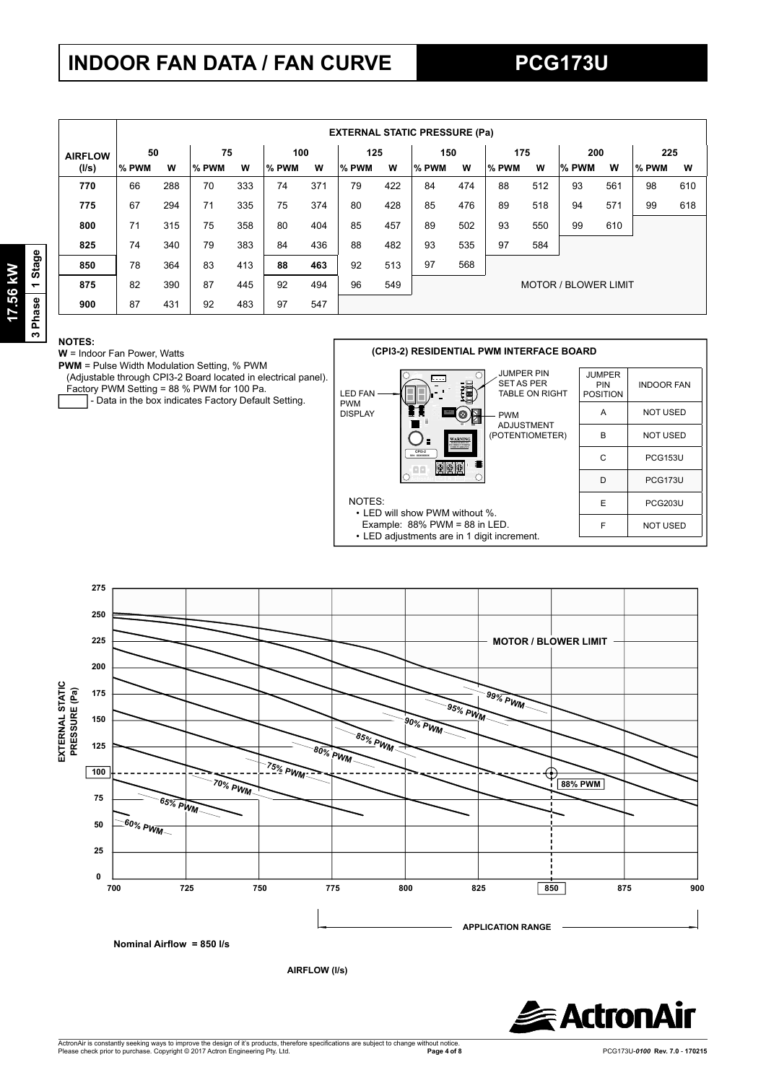# **INDOOR FAN DATA / FAN CURVE**

|                |       | <b>EXTERNAL STATIC PRESSURE (Pa)</b> |       |     |       |     |       |     |       |     |       |     |                             |     |       |     |
|----------------|-------|--------------------------------------|-------|-----|-------|-----|-------|-----|-------|-----|-------|-----|-----------------------------|-----|-------|-----|
| <b>AIRFLOW</b> | 50    |                                      | 75    |     | 100   |     | 125   |     | 150   |     | 175   |     | 200                         |     | 225   |     |
| (1/s)          | % PWM | W                                    | % PWM | W   | % PWM | W   | % PWM | w   | % PWM | W   | % PWM | W   | % PWM                       | W   | % PWM | W   |
| 770            | 66    | 288                                  | 70    | 333 | 74    | 371 | 79    | 422 | 84    | 474 | 88    | 512 | 93                          | 561 | 98    | 610 |
| 775            | 67    | 294                                  | 71    | 335 | 75    | 374 | 80    | 428 | 85    | 476 | 89    | 518 | 94                          | 571 | 99    | 618 |
| 800            | 71    | 315                                  | 75    | 358 | 80    | 404 | 85    | 457 | 89    | 502 | 93    | 550 | 99                          | 610 |       |     |
| 825            | 74    | 340                                  | 79    | 383 | 84    | 436 | 88    | 482 | 93    | 535 | 97    | 584 |                             |     |       |     |
| 850            | 78    | 364                                  | 83    | 413 | 88    | 463 | 92    | 513 | 97    | 568 |       |     |                             |     |       |     |
| 875            | 82    | 390                                  | 87    | 445 | 92    | 494 | 96    | 549 |       |     |       |     | <b>MOTOR / BLOWER LIMIT</b> |     |       |     |
| 900            | 87    | 431                                  | 92    | 483 | 97    | 547 |       |     |       |     |       |     |                             |     |       |     |

#### **NOTES:**

**W** = Indoor Fan Power, Watts

**PWM** = Pulse Width Modulation Setting, % PWM (Adjustable through CPI3-2 Board located in electrical panel). Factory PWM Setting = 88 % PWM for 100 Pa.

- Data in the box indicates Factory Default Setting.



| PIN<br>ΞR.<br>I RIGHT | <b>JUMPER</b><br>PIN<br><b>POSITION</b> | <b>INDOOR FAN</b> |  |  |  |  |  |
|-----------------------|-----------------------------------------|-------------------|--|--|--|--|--|
|                       | A                                       | <b>NOT USED</b>   |  |  |  |  |  |
| ENT<br><b>METER)</b>  | B                                       | <b>NOT USED</b>   |  |  |  |  |  |
|                       | C                                       | <b>PCG153U</b>    |  |  |  |  |  |
|                       | D                                       | PCG173U           |  |  |  |  |  |
|                       | E                                       | <b>PCG203U</b>    |  |  |  |  |  |
|                       | F                                       | <b>NOT USED</b>   |  |  |  |  |  |
|                       |                                         |                   |  |  |  |  |  |



**AIRFLOW (l/s)**

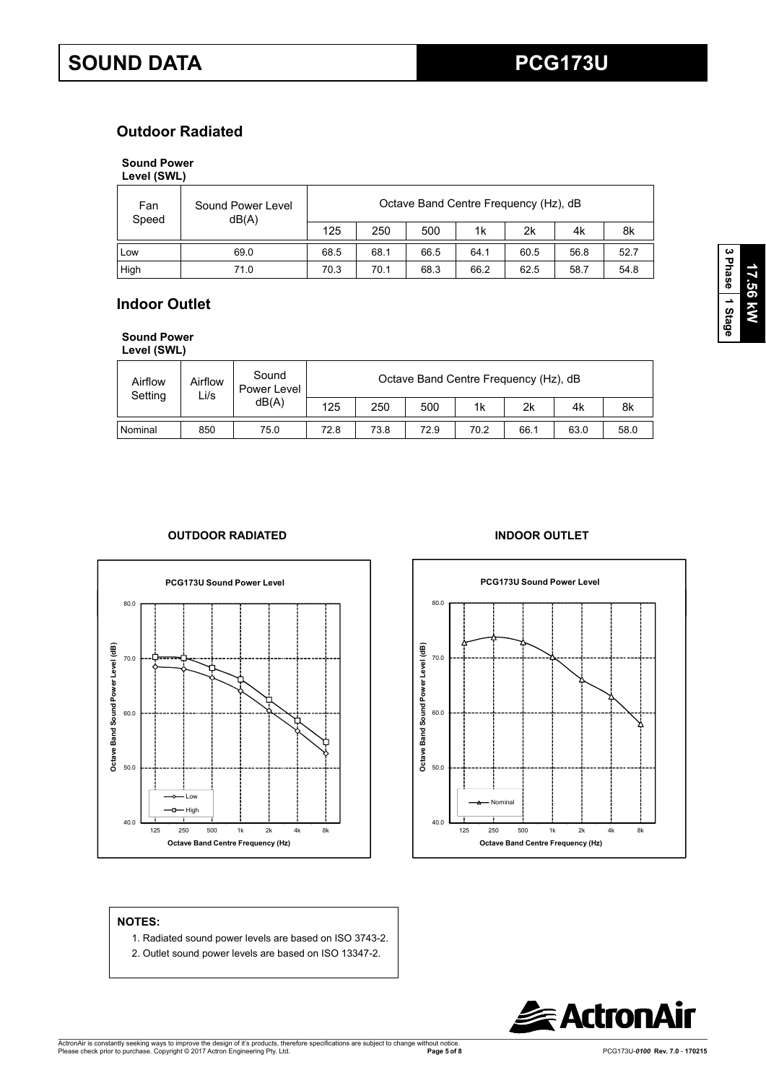## **Outdoor Radiated**

#### **Sound Power**

**Level (SWL)**

| Fan<br>Speed | Sound Power Level<br>dB(A) |      | Octave Band Centre Frequency (Hz), dB |      |      |      |      |      |  |  |  |
|--------------|----------------------------|------|---------------------------------------|------|------|------|------|------|--|--|--|
|              |                            | 125  | 250                                   | 500  | 1k   | 2k   | 4k   | 8k   |  |  |  |
| Low          | 69.0                       | 68.5 | 68.1                                  | 66.5 | 64.1 | 60.5 | 56.8 | 52.7 |  |  |  |
| High         | 71.0                       | 70.3 | 70.1                                  | 68.3 | 66.2 | 62.5 | 58.7 | 54.8 |  |  |  |

### **Indoor Outlet**

**Sound Power Level (SWL)**

| Airflow<br>Setting | Airflow<br>Li/s | Sound<br>Power Level | Octave Band Centre Frequency (Hz), dB |      |      |      |      |      |      |  |  |  |
|--------------------|-----------------|----------------------|---------------------------------------|------|------|------|------|------|------|--|--|--|
|                    | dB(A)           | 125                  | 250                                   | 500  | 1k   | 2k   | 4k   | 8k   |      |  |  |  |
| Nominal            | 850             | 75.0                 | 72.8                                  | 73.8 | 72.9 | 70.2 | 66.1 | 63.0 | 58.0 |  |  |  |

#### **OUTDOOR RADIATED INDOOR OUTLET**



# **PCG173U Sound Power Level**



#### **NOTES:**

- 1. Radiated sound power levels are based on ISO 3743-2.
- 2. Outlet sound power levels are based on ISO 13347-2.



**3 Phase**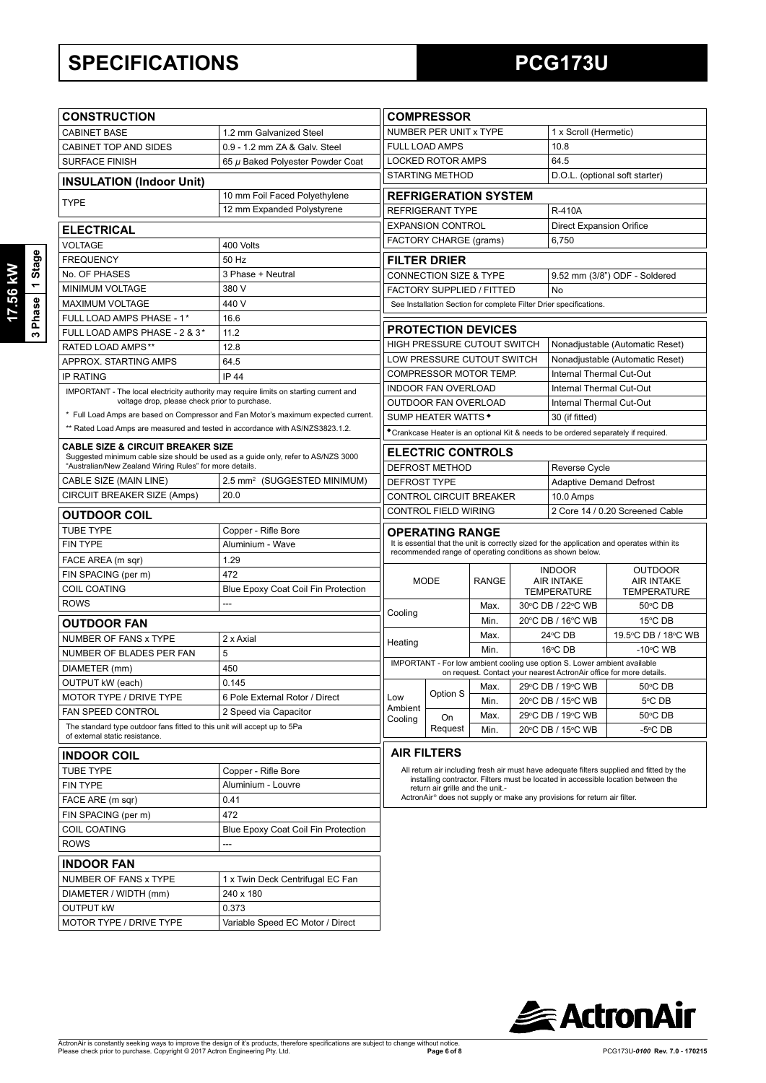## **SPECIFICATIONS PCG173U**

| <b>CONSTRUCTION</b>                                                                                                                          |                                                                                    |                                                          | <b>COMPRESSOR</b>                                          |              |                                         |                                                                           |                                                                                              |  |  |
|----------------------------------------------------------------------------------------------------------------------------------------------|------------------------------------------------------------------------------------|----------------------------------------------------------|------------------------------------------------------------|--------------|-----------------------------------------|---------------------------------------------------------------------------|----------------------------------------------------------------------------------------------|--|--|
| <b>CABINET BASE</b>                                                                                                                          | 1.2 mm Galvanized Steel                                                            |                                                          | NUMBER PER UNIT x TYPE                                     |              |                                         | 1 x Scroll (Hermetic)                                                     |                                                                                              |  |  |
| CABINET TOP AND SIDES                                                                                                                        | 0.9 - 1.2 mm ZA & Galv. Steel                                                      |                                                          | <b>FULL LOAD AMPS</b>                                      |              |                                         | 10.8                                                                      |                                                                                              |  |  |
| <b>SURFACE FINISH</b>                                                                                                                        | 65 µ Baked Polyester Powder Coat                                                   | <b>LOCKED ROTOR AMPS</b><br>64.5                         |                                                            |              |                                         |                                                                           |                                                                                              |  |  |
| <b>INSULATION (Indoor Unit)</b>                                                                                                              |                                                                                    | <b>STARTING METHOD</b><br>D.O.L. (optional soft starter) |                                                            |              |                                         |                                                                           |                                                                                              |  |  |
| 10 mm Foil Faced Polyethylene                                                                                                                |                                                                                    |                                                          | <b>REFRIGERATION SYSTEM</b>                                |              |                                         |                                                                           |                                                                                              |  |  |
| <b>TYPE</b>                                                                                                                                  | 12 mm Expanded Polystyrene                                                         |                                                          | <b>REFRIGERANT TYPE</b>                                    |              |                                         | <b>R-410A</b>                                                             |                                                                                              |  |  |
| <b>ELECTRICAL</b>                                                                                                                            |                                                                                    |                                                          | <b>EXPANSION CONTROL</b>                                   |              |                                         | <b>Direct Expansion Orifice</b>                                           |                                                                                              |  |  |
|                                                                                                                                              |                                                                                    |                                                          | FACTORY CHARGE (grams)                                     |              |                                         | 6,750                                                                     |                                                                                              |  |  |
| <b>VOLTAGE</b><br><b>FREQUENCY</b>                                                                                                           | 400 Volts<br>50 Hz                                                                 |                                                          | <b>FILTER DRIER</b>                                        |              |                                         |                                                                           |                                                                                              |  |  |
| No. OF PHASES                                                                                                                                | 3 Phase + Neutral                                                                  |                                                          |                                                            |              |                                         |                                                                           |                                                                                              |  |  |
| MINIMUM VOLTAGE                                                                                                                              | 380 V                                                                              |                                                          | CONNECTION SIZE & TYPE<br><b>FACTORY SUPPLIED / FITTED</b> |              |                                         | No                                                                        | 9.52 mm (3/8") ODF - Soldered                                                                |  |  |
| <b>MAXIMUM VOLTAGE</b>                                                                                                                       | 440 V                                                                              |                                                          |                                                            |              |                                         | See Installation Section for complete Filter Drier specifications.        |                                                                                              |  |  |
| FULL LOAD AMPS PHASE - 1*                                                                                                                    | 16.6                                                                               |                                                          |                                                            |              |                                         |                                                                           |                                                                                              |  |  |
| FULL LOAD AMPS PHASE - 2 & 3*                                                                                                                | 11.2                                                                               |                                                          | <b>PROTECTION DEVICES</b>                                  |              |                                         |                                                                           |                                                                                              |  |  |
| <b>RATED LOAD AMPS**</b>                                                                                                                     | 12.8                                                                               |                                                          | <b>HIGH PRESSURE CUTOUT SWITCH</b>                         |              |                                         |                                                                           | Nonadjustable (Automatic Reset)                                                              |  |  |
| APPROX. STARTING AMPS                                                                                                                        | 64.5                                                                               |                                                          | LOW PRESSURE CUTOUT SWITCH                                 |              |                                         |                                                                           | Nonadjustable (Automatic Reset)                                                              |  |  |
| <b>IP RATING</b>                                                                                                                             | <b>IP 44</b>                                                                       |                                                          | COMPRESSOR MOTOR TEMP.                                     |              |                                         | <b>Internal Thermal Cut-Out</b>                                           |                                                                                              |  |  |
| IMPORTANT - The local electricity authority may require limits on starting current and                                                       |                                                                                    |                                                          | <b>INDOOR FAN OVERLOAD</b>                                 |              |                                         | Internal Thermal Cut-Out                                                  |                                                                                              |  |  |
| voltage drop, please check prior to purchase.                                                                                                |                                                                                    |                                                          | OUTDOOR FAN OVERLOAD                                       |              |                                         | Internal Thermal Cut-Out                                                  |                                                                                              |  |  |
|                                                                                                                                              | * Full Load Amps are based on Compressor and Fan Motor's maximum expected current. |                                                          | SUMP HEATER WATTS *                                        |              |                                         | 30 (if fitted)                                                            |                                                                                              |  |  |
| ** Rated Load Amps are measured and tested in accordance with AS/NZS3823.1.2.                                                                |                                                                                    |                                                          |                                                            |              |                                         |                                                                           | *Crankcase Heater is an optional Kit & needs to be ordered separately if required.           |  |  |
| <b>CABLE SIZE &amp; CIRCUIT BREAKER SIZE</b>                                                                                                 |                                                                                    |                                                          | <b>ELECTRIC CONTROLS</b>                                   |              |                                         |                                                                           |                                                                                              |  |  |
| Suggested minimum cable size should be used as a guide only, refer to AS/NZS 3000<br>"Australian/New Zealand Wiring Rules" for more details. |                                                                                    |                                                          | <b>DEFROST METHOD</b>                                      |              |                                         | Reverse Cycle                                                             |                                                                                              |  |  |
| CABLE SIZE (MAIN LINE)                                                                                                                       | 2.5 mm <sup>2</sup> (SUGGESTED MINIMUM)                                            | <b>DEFROST TYPE</b>                                      |                                                            |              |                                         | <b>Adaptive Demand Defrost</b>                                            |                                                                                              |  |  |
| CIRCUIT BREAKER SIZE (Amps)                                                                                                                  | 20.0                                                                               |                                                          | CONTROL CIRCUIT BREAKER                                    |              |                                         | 10.0 Amps                                                                 |                                                                                              |  |  |
| <b>OUTDOOR COIL</b>                                                                                                                          |                                                                                    |                                                          | <b>CONTROL FIELD WIRING</b>                                |              |                                         |                                                                           | 2 Core 14 / 0.20 Screened Cable                                                              |  |  |
|                                                                                                                                              |                                                                                    |                                                          |                                                            |              |                                         |                                                                           |                                                                                              |  |  |
| <b>TUBE TYPE</b><br>FIN TYPE                                                                                                                 | Copper - Rifle Bore<br>Aluminium - Wave                                            |                                                          | <b>OPERATING RANGE</b>                                     |              |                                         |                                                                           | It is essential that the unit is correctly sized for the application and operates within its |  |  |
| FACE AREA (m sqr)                                                                                                                            | 1.29                                                                               |                                                          |                                                            |              |                                         | recommended range of operating conditions as shown below.                 |                                                                                              |  |  |
| FIN SPACING (per m)                                                                                                                          | 472                                                                                |                                                          |                                                            |              |                                         | <b>INDOOR</b>                                                             | <b>OUTDOOR</b>                                                                               |  |  |
| <b>COIL COATING</b>                                                                                                                          | Blue Epoxy Coat Coil Fin Protection                                                |                                                          | <b>MODE</b>                                                | <b>RANGE</b> | <b>AIR INTAKE</b>                       |                                                                           | <b>AIR INTAKE</b>                                                                            |  |  |
| <b>ROWS</b>                                                                                                                                  | ---                                                                                |                                                          |                                                            | Max.         | <b>TEMPERATURE</b><br>30°C DB / 22°C WB |                                                                           | <b>TEMPERATURE</b><br>50°C DB                                                                |  |  |
|                                                                                                                                              |                                                                                    | Cooling                                                  |                                                            | Min.         | 20°C DB / 16°C WB                       |                                                                           | 15°C DB                                                                                      |  |  |
| <b>OUTDOOR FAN</b>                                                                                                                           |                                                                                    |                                                          |                                                            | Max.         |                                         | 24°C DB                                                                   | 19.5°C DB / 18°C WB                                                                          |  |  |
| NUMBER OF FANS x TYPE                                                                                                                        | 2 x Axial                                                                          | Heating                                                  |                                                            | Min.         |                                         | 16°C DB                                                                   | $-10^{\circ}$ C WB                                                                           |  |  |
| NUMBER OF BLADES PER FAN                                                                                                                     | 5                                                                                  |                                                          |                                                            |              |                                         | IMPORTANT - For low ambient cooling use option S. Lower ambient available |                                                                                              |  |  |
| DIAMETER (mm)                                                                                                                                | 450                                                                                |                                                          |                                                            |              |                                         |                                                                           | on request. Contact your nearest ActronAir office for more details.                          |  |  |
| OUTPUT kW (each)                                                                                                                             | 0.145                                                                              |                                                          | Option S                                                   |              |                                         |                                                                           | Max. 29°C DB / 19°C WB 50°C DB                                                               |  |  |
| MOTOR TYPE / DRIVE TYPE                                                                                                                      | 6 Pole External Rotor / Direct                                                     | Low<br>Ambient                                           |                                                            | Min.         |                                         | 20°C DB / 15°C WB                                                         | 5°C DB                                                                                       |  |  |
| FAN SPEED CONTROL                                                                                                                            | 2 Speed via Capacitor                                                              | Cooling                                                  | On                                                         | Max.         |                                         | 29°C DB / 19°C WB                                                         | 50°C DB                                                                                      |  |  |
| The standard type outdoor fans fitted to this unit will accept up to 5Pa<br>of external static resistance.                                   |                                                                                    |                                                          | Request                                                    | Min.         |                                         | 20°C DB / 15°C WB                                                         | $-5^{\circ}$ CDB                                                                             |  |  |
| <b>INDOOR COIL</b>                                                                                                                           |                                                                                    |                                                          | <b>AIR FILTERS</b>                                         |              |                                         |                                                                           |                                                                                              |  |  |
| <b>TUBE TYPE</b>                                                                                                                             | Copper - Rifle Bore                                                                |                                                          |                                                            |              |                                         |                                                                           | All return air including fresh air must have adequate filters supplied and fitted by the     |  |  |
| FIN TYPE                                                                                                                                     | Aluminium - Louvre                                                                 |                                                          |                                                            |              |                                         |                                                                           | installing contractor. Filters must be located in accessible location between the            |  |  |
| FACE ARE (m sqr)                                                                                                                             | 0.41                                                                               |                                                          | return air grille and the unit.-                           |              |                                         | ActronAir® does not supply or make any provisions for return air filter.  |                                                                                              |  |  |
| FIN SPACING (per m)                                                                                                                          | 472                                                                                |                                                          |                                                            |              |                                         |                                                                           |                                                                                              |  |  |
| <b>COIL COATING</b>                                                                                                                          | Blue Epoxy Coat Coil Fin Protection                                                |                                                          |                                                            |              |                                         |                                                                           |                                                                                              |  |  |
| <b>ROWS</b>                                                                                                                                  | ---                                                                                |                                                          |                                                            |              |                                         |                                                                           |                                                                                              |  |  |
|                                                                                                                                              |                                                                                    |                                                          |                                                            |              |                                         |                                                                           |                                                                                              |  |  |
| <b>INDOOR FAN</b>                                                                                                                            |                                                                                    |                                                          |                                                            |              |                                         |                                                                           |                                                                                              |  |  |
|                                                                                                                                              |                                                                                    |                                                          |                                                            |              |                                         |                                                                           |                                                                                              |  |  |
| NUMBER OF FANS x TYPE                                                                                                                        | 1 x Twin Deck Centrifugal EC Fan                                                   |                                                          |                                                            |              |                                         |                                                                           |                                                                                              |  |  |
| DIAMETER / WIDTH (mm)                                                                                                                        | 240 x 180                                                                          |                                                          |                                                            |              |                                         |                                                                           |                                                                                              |  |  |
| <b>OUTPUT KW</b><br>MOTOR TYPE / DRIVE TYPE                                                                                                  | 0.373<br>Variable Speed EC Motor / Direct                                          |                                                          |                                                            |              |                                         |                                                                           |                                                                                              |  |  |

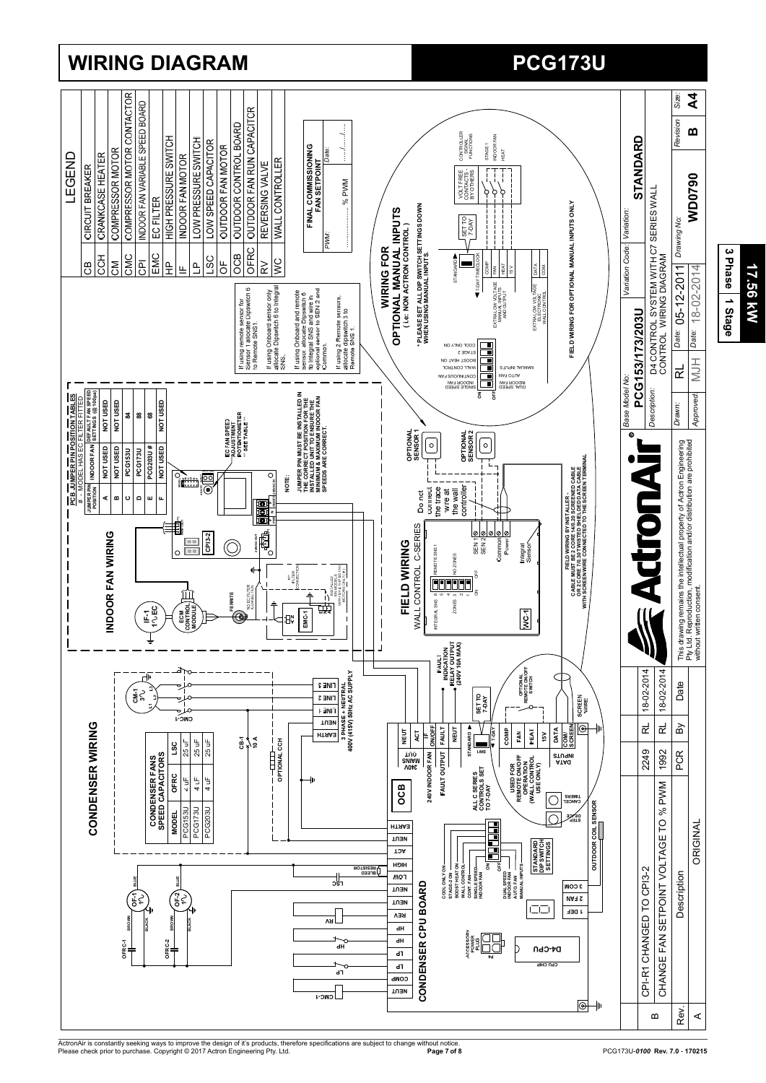

## **WIRING DIAGRAM PCG173U PCG173U**

ActronAir is constantly seeking ways to improve the design of it's products, therefore specifications are subject to change without notice.<br>Please check prior to purchase. Copyright © 2017 Actron Engineering Pty. Ltd.

**17.56 kW**

17.56 kW